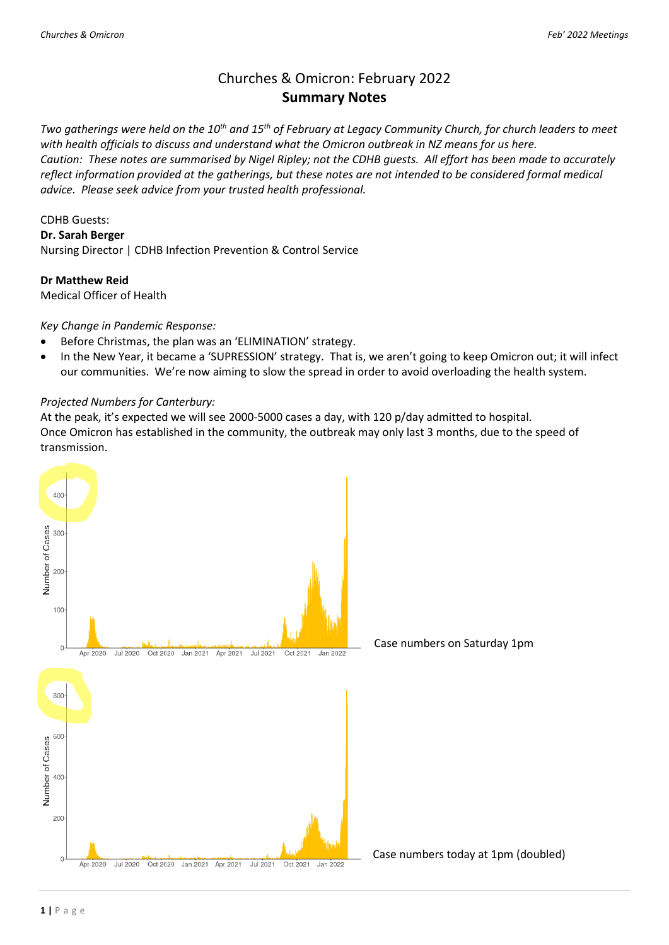# Churches & Omicron: February 2022 **Summary Notes**

*Two gatherings were held on the 10th and 15th of February at Legacy Community Church, for church leaders to meet with health officials to discuss and understand what the Omicron outbreak in NZ means for us here. Caution: These notes are summarised by Nigel Ripley; not the CDHB guests. All effort has been made to accurately reflect information provided at the gatherings, but these notes are not intended to be considered formal medical advice. Please seek advice from your trusted health professional.*

#### CDHB Guests:

**Dr. Sarah Berger** 

Nursing Director | CDHB Infection Prevention & Control Service

#### **Dr Matthew Reid**

Medical Officer of Health

## *Key Change in Pandemic Response:*

- Before Christmas, the plan was an 'ELIMINATION' strategy.
- In the New Year, it became a 'SUPRESSION' strategy. That is, we aren't going to keep Omicron out; it will infect our communities. We're now aiming to slow the spread in order to avoid overloading the health system.

#### *Projected Numbers for Canterbury:*

At the peak, it's expected we will see 2000-5000 cases a day, with 120 p/day admitted to hospital. Once Omicron has established in the community, the outbreak may only last 3 months, due to the speed of transmission.

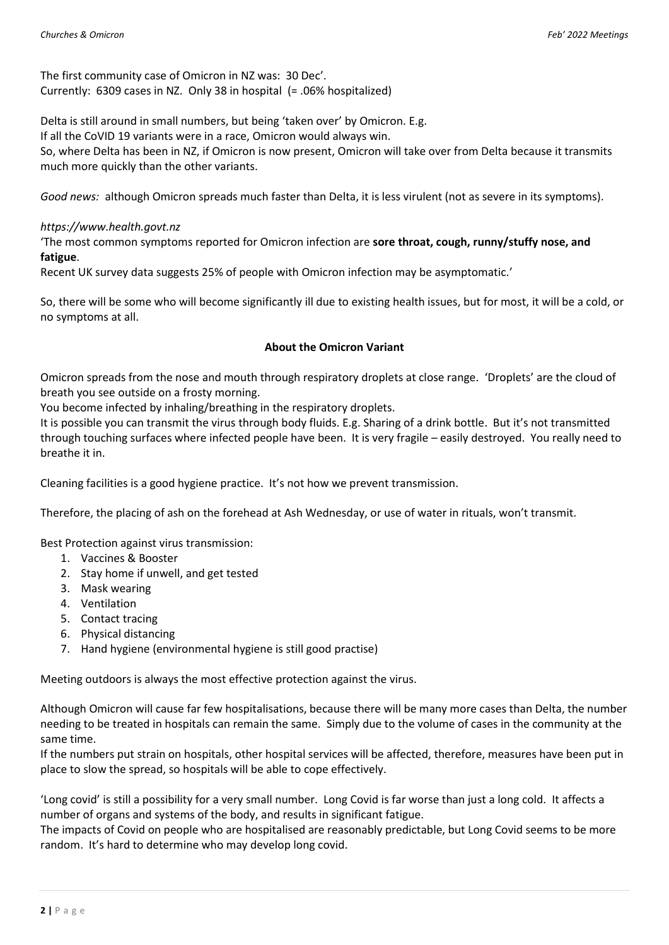The first community case of Omicron in NZ was: 30 Dec'. Currently: 6309 cases in NZ. Only 38 in hospital (= .06% hospitalized)

Delta is still around in small numbers, but being 'taken over' by Omicron. E.g.

If all the CoVID 19 variants were in a race, Omicron would always win.

So, where Delta has been in NZ, if Omicron is now present, Omicron will take over from Delta because it transmits much more quickly than the other variants.

*Good news:* although Omicron spreads much faster than Delta, it is less virulent (not as severe in its symptoms).

## *https://www.health.govt.nz*

'The most common symptoms reported for Omicron infection are **sore throat, cough, runny/stuffy nose, and fatigue**.

Recent UK survey data suggests 25% of people with Omicron infection may be asymptomatic.'

So, there will be some who will become significantly ill due to existing health issues, but for most, it will be a cold, or no symptoms at all.

## **About the Omicron Variant**

Omicron spreads from the nose and mouth through respiratory droplets at close range. 'Droplets' are the cloud of breath you see outside on a frosty morning.

You become infected by inhaling/breathing in the respiratory droplets.

It is possible you can transmit the virus through body fluids. E.g. Sharing of a drink bottle. But it's not transmitted through touching surfaces where infected people have been. It is very fragile – easily destroyed. You really need to breathe it in.

Cleaning facilities is a good hygiene practice. It's not how we prevent transmission.

Therefore, the placing of ash on the forehead at Ash Wednesday, or use of water in rituals, won't transmit.

Best Protection against virus transmission:

- 1. Vaccines & Booster
- 2. Stay home if unwell, and get tested
- 3. Mask wearing
- 4. Ventilation
- 5. Contact tracing
- 6. Physical distancing
- 7. Hand hygiene (environmental hygiene is still good practise)

Meeting outdoors is always the most effective protection against the virus.

Although Omicron will cause far few hospitalisations, because there will be many more cases than Delta, the number needing to be treated in hospitals can remain the same. Simply due to the volume of cases in the community at the same time.

If the numbers put strain on hospitals, other hospital services will be affected, therefore, measures have been put in place to slow the spread, so hospitals will be able to cope effectively.

'Long covid' is still a possibility for a very small number. Long Covid is far worse than just a long cold. It affects a number of organs and systems of the body, and results in significant fatigue.

The impacts of Covid on people who are hospitalised are reasonably predictable, but Long Covid seems to be more random. It's hard to determine who may develop long covid.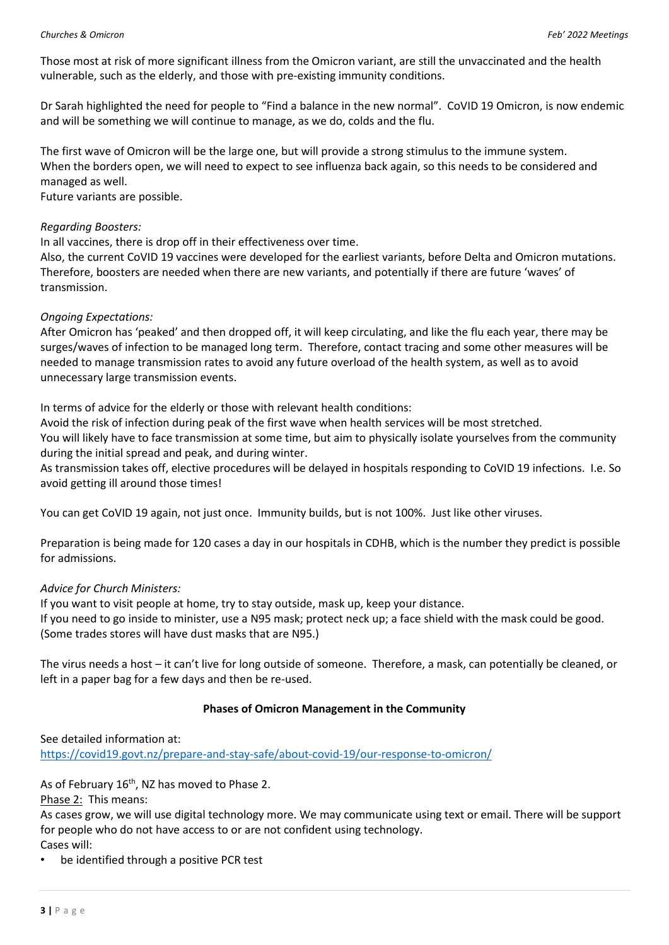Those most at risk of more significant illness from the Omicron variant, are still the unvaccinated and the health vulnerable, such as the elderly, and those with pre-existing immunity conditions.

Dr Sarah highlighted the need for people to "Find a balance in the new normal". CoVID 19 Omicron, is now endemic and will be something we will continue to manage, as we do, colds and the flu.

The first wave of Omicron will be the large one, but will provide a strong stimulus to the immune system. When the borders open, we will need to expect to see influenza back again, so this needs to be considered and managed as well.

Future variants are possible.

## *Regarding Boosters:*

In all vaccines, there is drop off in their effectiveness over time.

Also, the current CoVID 19 vaccines were developed for the earliest variants, before Delta and Omicron mutations. Therefore, boosters are needed when there are new variants, and potentially if there are future 'waves' of transmission.

## *Ongoing Expectations:*

After Omicron has 'peaked' and then dropped off, it will keep circulating, and like the flu each year, there may be surges/waves of infection to be managed long term. Therefore, contact tracing and some other measures will be needed to manage transmission rates to avoid any future overload of the health system, as well as to avoid unnecessary large transmission events.

In terms of advice for the elderly or those with relevant health conditions:

Avoid the risk of infection during peak of the first wave when health services will be most stretched.

You will likely have to face transmission at some time, but aim to physically isolate yourselves from the community during the initial spread and peak, and during winter.

As transmission takes off, elective procedures will be delayed in hospitals responding to CoVID 19 infections. I.e. So avoid getting ill around those times!

You can get CoVID 19 again, not just once. Immunity builds, but is not 100%. Just like other viruses.

Preparation is being made for 120 cases a day in our hospitals in CDHB, which is the number they predict is possible for admissions.

## *Advice for Church Ministers:*

If you want to visit people at home, try to stay outside, mask up, keep your distance. If you need to go inside to minister, use a N95 mask; protect neck up; a face shield with the mask could be good. (Some trades stores will have dust masks that are N95.)

The virus needs a host – it can't live for long outside of someone. Therefore, a mask, can potentially be cleaned, or left in a paper bag for a few days and then be re-used.

# **Phases of Omicron Management in the Community**

## See detailed information at:

<https://covid19.govt.nz/prepare-and-stay-safe/about-covid-19/our-response-to-omicron/>

As of February 16<sup>th</sup>, NZ has moved to Phase 2.

Phase 2: This means:

As cases grow, we will use digital technology more. We may communicate using text or email. There will be support for people who do not have access to or are not confident using technology.

Cases will:

be identified through a positive PCR test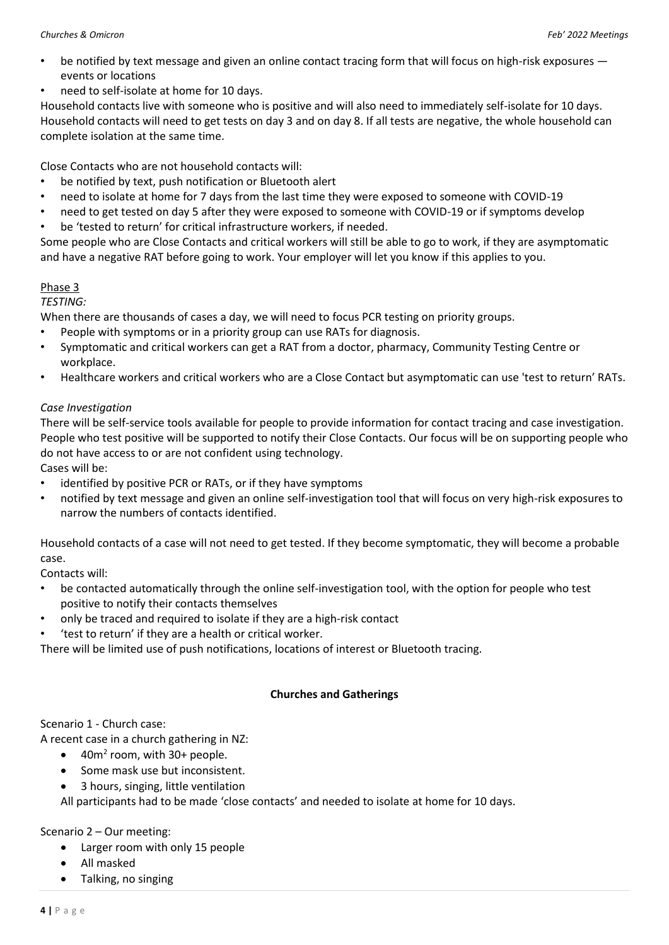- be notified by text message and given an online contact tracing form that will focus on high-risk exposures events or locations
- need to self-isolate at home for 10 days.

Household contacts live with someone who is positive and will also need to immediately self-isolate for 10 days. Household contacts will need to get tests on day 3 and on day 8. If all tests are negative, the whole household can complete isolation at the same time.

Close Contacts who are not household contacts will:

- be notified by text, push notification or Bluetooth alert
- need to isolate at home for 7 days from the last time they were exposed to someone with COVID-19
- need to get tested on day 5 after they were exposed to someone with COVID-19 or if symptoms develop
- be 'tested to return' for critical infrastructure workers, if needed.

Some people who are Close Contacts and critical workers will still be able to go to work, if they are asymptomatic and have a negative RAT before going to work. Your employer will let you know if this applies to you.

# Phase 3

*TESTING:* 

When there are thousands of cases a day, we will need to focus PCR testing on priority groups.

- People with symptoms or in a priority group can use RATs for diagnosis.
- Symptomatic and critical workers can get a RAT from a doctor, pharmacy, Community Testing Centre or workplace.
- Healthcare workers and critical workers who are a Close Contact but asymptomatic can use 'test to return' RATs.

# *Case Investigation*

There will be self-service tools available for people to provide information for contact tracing and case investigation. People who test positive will be supported to notify their Close Contacts. Our focus will be on supporting people who do not have access to or are not confident using technology.

Cases will be:

- identified by positive PCR or RATs, or if they have symptoms
- notified by text message and given an online self-investigation tool that will focus on very high-risk exposures to narrow the numbers of contacts identified.

Household contacts of a case will not need to get tested. If they become symptomatic, they will become a probable case.

Contacts will:

- be contacted automatically through the online self-investigation tool, with the option for people who test positive to notify their contacts themselves
- only be traced and required to isolate if they are a high-risk contact
- 'test to return' if they are a health or critical worker.

There will be limited use of push notifications, locations of interest or Bluetooth tracing.

# **Churches and Gatherings**

# Scenario 1 - Church case:

A recent case in a church gathering in NZ:

- 40m<sup>2</sup> room, with 30+ people.
- Some mask use but inconsistent.
- 3 hours, singing, little ventilation

All participants had to be made 'close contacts' and needed to isolate at home for 10 days.

Scenario 2 – Our meeting:

- Larger room with only 15 people
- All masked
- Talking, no singing